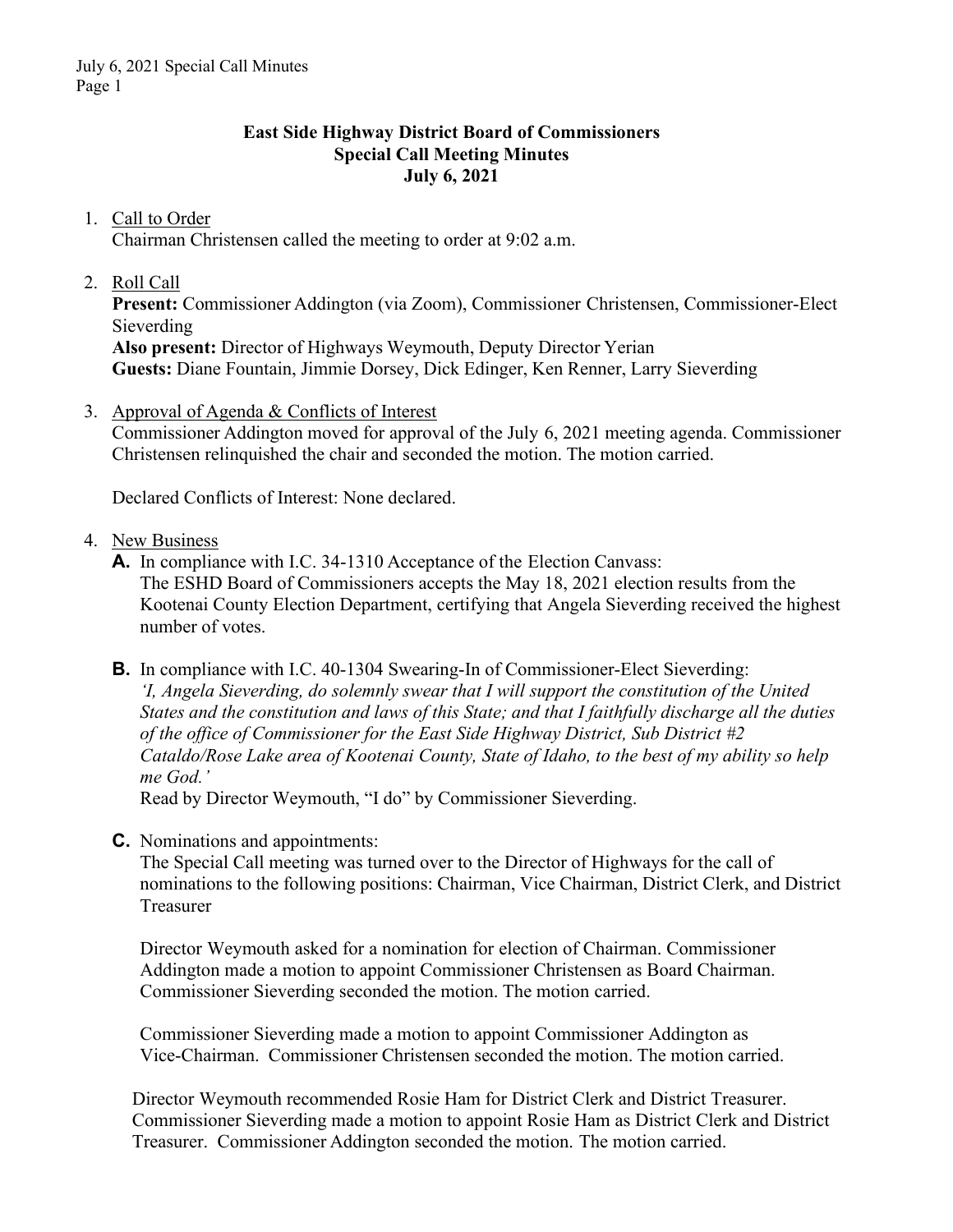# **East Side Highway District Board of Commissioners Special Call Meeting Minutes July 6, 2021**

## 1. Call to Order

Chairman Christensen called the meeting to order at 9:02 a.m.

### 2. Roll Call

**Present:** Commissioner Addington (via Zoom), Commissioner Christensen, Commissioner-Elect Sieverding

**Also present:** Director of Highways Weymouth, Deputy Director Yerian **Guests:** Diane Fountain, Jimmie Dorsey, Dick Edinger, Ken Renner, Larry Sieverding

3. Approval of Agenda & Conflicts of Interest

Commissioner Addington moved for approval of the July 6, 2021 meeting agenda. Commissioner Christensen relinquished the chair and seconded the motion. The motion carried.

Declared Conflicts of Interest: None declared.

#### 4. New Business

- **A.** In compliance with I.C. 34-1310 Acceptance of the Election Canvass: The ESHD Board of Commissioners accepts the May 18, 2021 election results from the Kootenai County Election Department, certifying that Angela Sieverding received the highest number of votes.
- **B.** In compliance with I.C. 40-1304 Swearing-In of Commissioner-Elect Sieverding: *'I, Angela Sieverding, do solemnly swear that I will support the constitution of the United States and the constitution and laws of this State; and that I faithfully discharge all the duties of the office of Commissioner for the East Side Highway District, Sub District #2 Cataldo/Rose Lake area of Kootenai County, State of Idaho, to the best of my ability so help me God.'*

Read by Director Weymouth, "I do" by Commissioner Sieverding.

**C.** Nominations and appointments:

The Special Call meeting was turned over to the Director of Highways for the call of nominations to the following positions: Chairman, Vice Chairman, District Clerk, and District Treasurer

Director Weymouth asked for a nomination for election of Chairman. Commissioner Addington made a motion to appoint Commissioner Christensen as Board Chairman. Commissioner Sieverding seconded the motion. The motion carried.

Commissioner Sieverding made a motion to appoint Commissioner Addington as Vice-Chairman. Commissioner Christensen seconded the motion. The motion carried.

Director Weymouth recommended Rosie Ham for District Clerk and District Treasurer. Commissioner Sieverding made a motion to appoint Rosie Ham as District Clerk and District Treasurer. Commissioner Addington seconded the motion. The motion carried.